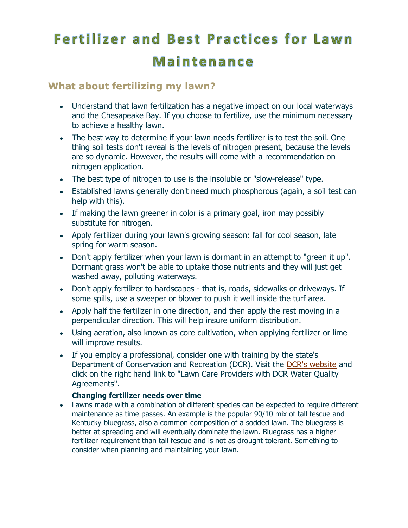# **Fertilizer and Best Practices for Lawn** Maintenance

## **What about fertilizing my lawn?**

- Understand that lawn fertilization has a negative impact on our local waterways and the Chesapeake Bay. If you choose to fertilize, use the minimum necessary to achieve a healthy lawn.
- The best way to determine if your lawn needs fertilizer is to test the soil. One thing soil tests don't reveal is the levels of nitrogen present, because the levels are so dynamic. However, the results will come with a recommendation on nitrogen application.
- The best type of nitrogen to use is the insoluble or "slow-release" type.
- Established lawns generally don't need much phosphorous (again, a soil test can help with this).
- If making the lawn greener in color is a primary goal, iron may possibly substitute for nitrogen.
- Apply fertilizer during your lawn's growing season: fall for cool season, late spring for warm season.
- Don't apply fertilizer when your lawn is dormant in an attempt to "green it up". Dormant grass won't be able to uptake those nutrients and they will just get washed away, polluting waterways.
- Don't apply fertilizer to hardscapes that is, roads, sidewalks or driveways. If some spills, use a sweeper or blower to push it well inside the turf area.
- Apply half the fertilizer in one direction, and then apply the rest moving in a perpendicular direction. This will help insure uniform distribution.
- Using aeration, also known as core cultivation, when applying fertilizer or lime will improve results.
- If you employ a professional, consider one with training by the state's Department of Conservation and Recreation (DCR). Visit the [DCR's website](http://www.dcr.virginia.gov/stormwater_management/nutmgt.shtml) and click on the right hand link to "Lawn Care Providers with DCR Water Quality Agreements".

## **Changing fertilizer needs over time**

 Lawns made with a combination of different species can be expected to require different maintenance as time passes. An example is the popular 90/10 mix of tall fescue and Kentucky bluegrass, also a common composition of a sodded lawn. The bluegrass is better at spreading and will eventually dominate the lawn. Bluegrass has a higher fertilizer requirement than tall fescue and is not as drought tolerant. Something to consider when planning and maintaining your lawn.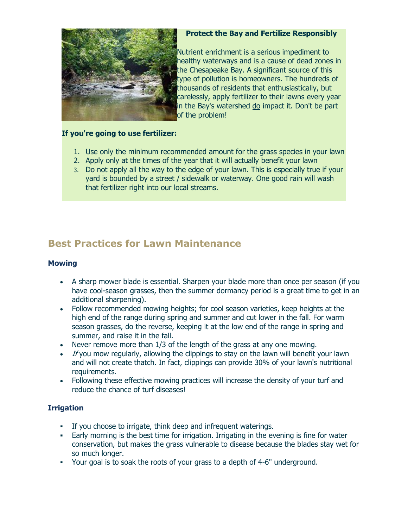

#### **Protect the Bay and Fertilize Responsibly**

Nutrient enrichment is a serious impediment to healthy waterways and is a cause of dead zones in the Chesapeake Bay. A significant source of this type of pollution is homeowners. The hundreds of thousands of residents that enthusiastically, but carelessly, apply fertilizer to their lawns every year in the Bay's watershed do impact it. Don't be part of the problem!

#### **If you're going to use fertilizer:**

- 1. Use only the minimum recommended amount for the grass species in your lawn
- 2. Apply only at the times of the year that it will actually benefit your lawn
- 3. Do not apply all the way to the edge of your lawn. This is especially true if your yard is bounded by a street / sidewalk or waterway. One good rain will wash that fertilizer right into our local streams.

# **Best Practices for Lawn Maintenance**

#### **Mowing**

- A sharp mower blade is essential. Sharpen your blade more than once per season (if you have cool-season grasses, then the summer dormancy period is a great time to get in an additional sharpening).
- Follow recommended mowing heights; for cool season varieties, keep heights at the high end of the range during spring and summer and cut lower in the fall. For warm season grasses, do the reverse, keeping it at the low end of the range in spring and summer, and raise it in the fall.
- Never remove more than 1/3 of the length of the grass at any one mowing.
- $\bullet$  If you mow regularly, allowing the clippings to stay on the lawn will benefit your lawn and will not create thatch. In fact, clippings can provide 30% of your lawn's nutritional requirements.
- Following these effective mowing practices will increase the density of your turf and reduce the chance of turf diseases!

### **Irrigation**

- If you choose to irrigate, think deep and infrequent waterings.
- Early morning is the best time for irrigation. Irrigating in the evening is fine for water conservation, but makes the grass vulnerable to disease because the blades stay wet for so much longer.
- Your goal is to soak the roots of your grass to a depth of 4-6" underground.